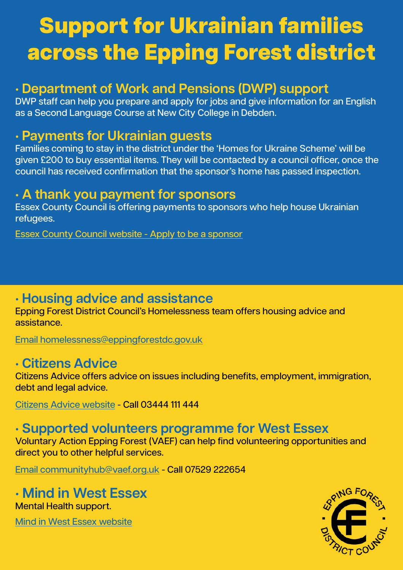# Support for Ukrainian families across the Epping Forest district

### **• Department of Work and Pensions (DWP) support**

DWP staff can help you prepare and apply for jobs and give information for an English as a Second Language Course at New City College in Debden.

#### **• Payments for Ukrainian guests**

Families coming to stay in the district under the 'Homes for Ukraine Scheme' will be given £200 to buy essential items. They will be contacted by a council officer, once the council has received confirmation that the sponsor's home has passed inspection.

#### **• A thank you payment for sponsors**

Essex County Council is offering payments to sponsors who help house Ukrainian refugees.

Essex County Council website - [Apply to be a sponsor](https://www.essex.gov.uk/information-for-sponsors-welcoming-a-ukrainian-person-or-family/payments-to-sponsors-and-guests)

### **• Housing advice and assistance**

Epping Forest District Council's Homelessness team offers housing advice and assistance.

[Email homelessness@eppingforestdc.gov.uk](mailto:Email%20homelessness%40eppingforestdc.gov.uk?subject=)

### **• Citizens Advice**

Citizens Advice offers advice on issues including benefits, employment, immigration, debt and legal advice.

[Citizens Advice website](https://www.citizensadvice.org.uk/) - Call 03444 111 444

### **• Supported volunteers programme for West Essex**

Voluntary Action Epping Forest (VAEF) can help find volunteering opportunities and direct you to other helpful services.

[Email communityhub@vaef.org.uk](mailto:Email%20communityhub%40vaef.org.uk?subject=) - Call 07529 222654

### **• Mind in West Essex** Mental Health support.

[Mind in West Essex website](https://www.mindinwestessex.org.uk/)